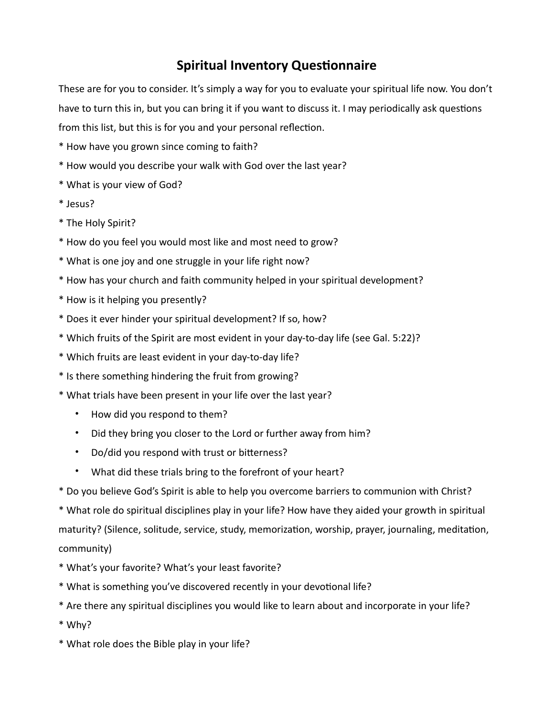## **Spiritual Inventory Questionnaire**

These are for you to consider. It's simply a way for you to evaluate your spiritual life now. You don't have to turn this in, but you can bring it if you want to discuss it. I may periodically ask questions from this list, but this is for you and your personal reflection.

- \* How have you grown since coming to faith?
- \* How would you describe your walk with God over the last year?
- \* What is your view of God?
- \* Jesus?
- \* The Holy Spirit?
- \* How do you feel you would most like and most need to grow?
- \* What is one joy and one struggle in your life right now?
- \* How has your church and faith community helped in your spiritual development?
- \* How is it helping you presently?
- \* Does it ever hinder your spiritual development? If so, how?
- \* Which fruits of the Spirit are most evident in your day-to-day life (see Gal. 5:22)?
- \* Which fruits are least evident in your day-to-day life?
- \* Is there something hindering the fruit from growing?
- \* What trials have been present in your life over the last year?
	- How did you respond to them?
	- Did they bring you closer to the Lord or further away from him?
	- Do/did you respond with trust or bitterness?
	- What did these trials bring to the forefront of your heart?

\* Do you believe God's Spirit is able to help you overcome barriers to communion with Christ?

\* What role do spiritual disciplines play in your life? How have they aided your growth in spiritual maturity? (Silence, solitude, service, study, memorization, worship, prayer, journaling, meditation, community)

- \* What's your favorite? What's your least favorite?
- \* What is something you've discovered recently in your devotional life?
- \* Are there any spiritual disciplines you would like to learn about and incorporate in your life?
- \* Why?
- \* What role does the Bible play in your life?